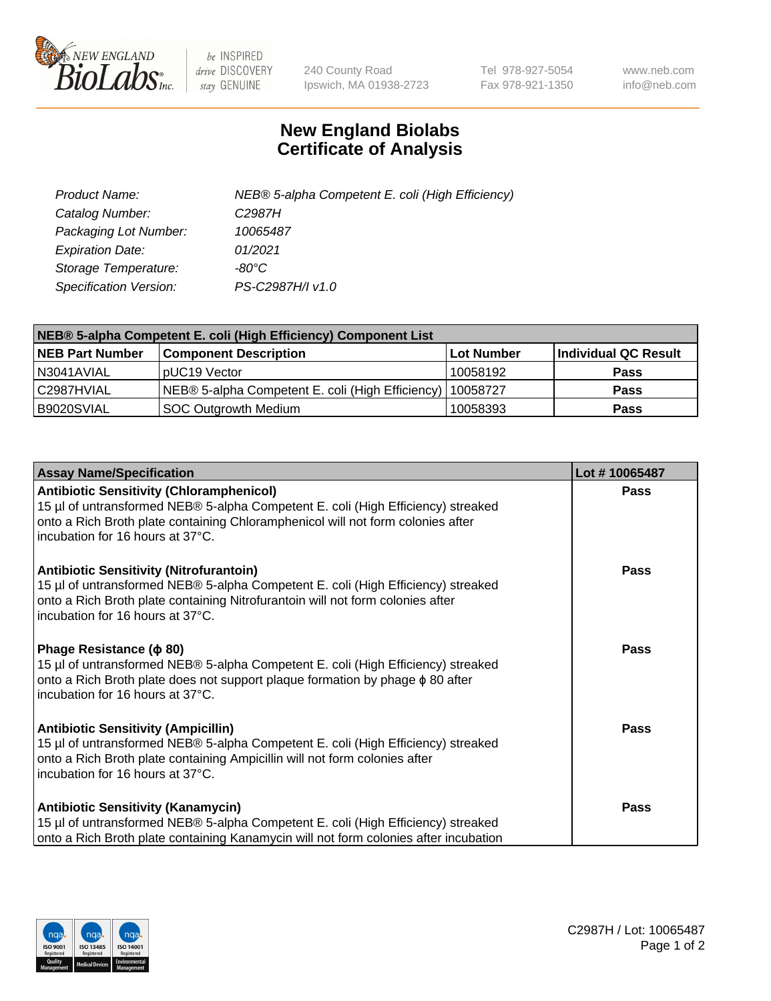

 $be$  INSPIRED drive DISCOVERY stay GENUINE

240 County Road Ipswich, MA 01938-2723 Tel 978-927-5054 Fax 978-921-1350 www.neb.com info@neb.com

## **New England Biolabs Certificate of Analysis**

| Product Name:           | NEB® 5-alpha Competent E. coli (High Efficiency) |
|-------------------------|--------------------------------------------------|
| Catalog Number:         | C <sub>2987</sub> H                              |
| Packaging Lot Number:   | 10065487                                         |
| <b>Expiration Date:</b> | 01/2021                                          |
| Storage Temperature:    | -80°C                                            |
| Specification Version:  | PS-C2987H/I v1.0                                 |

| NEB® 5-alpha Competent E. coli (High Efficiency) Component List |                                                  |            |                      |  |
|-----------------------------------------------------------------|--------------------------------------------------|------------|----------------------|--|
| <b>NEB Part Number</b>                                          | <b>Component Description</b>                     | Lot Number | Individual QC Result |  |
| N3041AVIAL                                                      | pUC19 Vector                                     | 10058192   | <b>Pass</b>          |  |
| C2987HVIAL                                                      | NEB® 5-alpha Competent E. coli (High Efficiency) | 10058727   | <b>Pass</b>          |  |
| B9020SVIAL                                                      | SOC Outgrowth Medium                             | 10058393   | <b>Pass</b>          |  |

| <b>Assay Name/Specification</b>                                                                                                                                                                                                                            | Lot #10065487 |
|------------------------------------------------------------------------------------------------------------------------------------------------------------------------------------------------------------------------------------------------------------|---------------|
| <b>Antibiotic Sensitivity (Chloramphenicol)</b><br>15 µl of untransformed NEB® 5-alpha Competent E. coli (High Efficiency) streaked<br>onto a Rich Broth plate containing Chloramphenicol will not form colonies after<br>incubation for 16 hours at 37°C. | <b>Pass</b>   |
| <b>Antibiotic Sensitivity (Nitrofurantoin)</b><br>15 µl of untransformed NEB® 5-alpha Competent E. coli (High Efficiency) streaked<br>onto a Rich Broth plate containing Nitrofurantoin will not form colonies after<br>incubation for 16 hours at 37°C.   | Pass          |
| Phage Resistance ( $\phi$ 80)<br>15 µl of untransformed NEB® 5-alpha Competent E. coli (High Efficiency) streaked<br>onto a Rich Broth plate does not support plaque formation by phage φ 80 after<br>incubation for 16 hours at 37°C.                     | <b>Pass</b>   |
| <b>Antibiotic Sensitivity (Ampicillin)</b><br>15 µl of untransformed NEB® 5-alpha Competent E. coli (High Efficiency) streaked<br>onto a Rich Broth plate containing Ampicillin will not form colonies after<br>incubation for 16 hours at 37°C.           | Pass          |
| <b>Antibiotic Sensitivity (Kanamycin)</b><br>15 µl of untransformed NEB® 5-alpha Competent E. coli (High Efficiency) streaked<br>onto a Rich Broth plate containing Kanamycin will not form colonies after incubation                                      | Pass          |